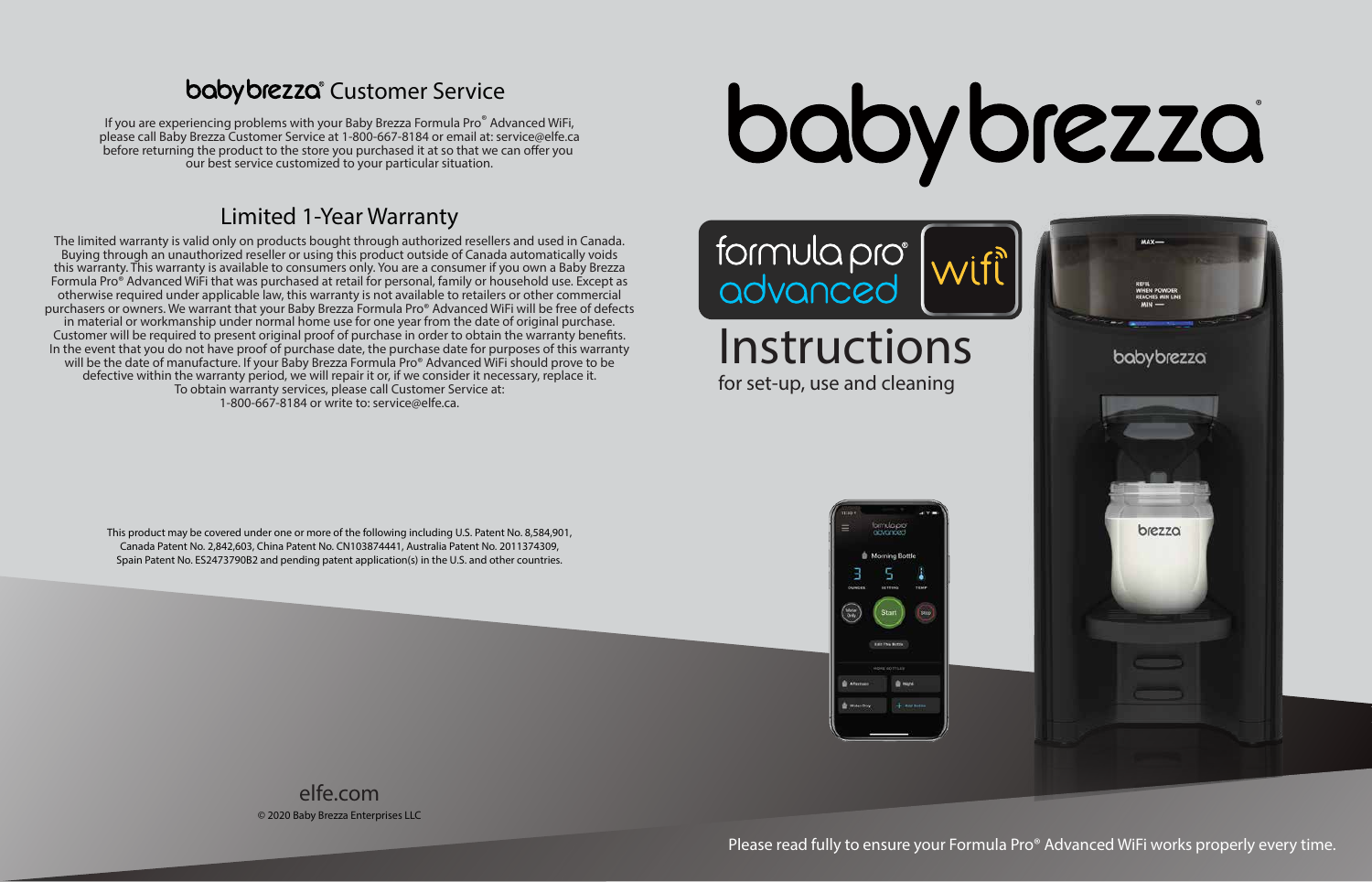Instructions for set-up, use and cleaning

Please read fully to ensure your Formula Pro® Advanced WiFi works properly every time.





#### **babybrezza** Customer Service

If you are experiencing problems with your Baby Brezza Formula Pro® Advanced WiFi, please call Baby Brezza Customer Service at 1-800-667-8184 or email at: service@elfe.ca before returning the product to the store you purchased it at so that we can offer you our best service customized to your particular situation.

> © 2020 Baby Brezza Enterprises LLC elfe.com

The limited warranty is valid only on products bought through authorized resellers and used in Canada. Buying through an unauthorized reseller or using this product outside of Canada automatically voids this warranty. This warranty is available to consumers only. You are a consumer if you own a Baby Brezza Formula Pro<sup>®</sup> Advanced WiFi that was purchased at retail for personal, family or household use. Except as otherwise required under applicable law, this warranty is not available to retailers or other commercial purchasers or owners. We warrant that your Baby Brezza Formula Pro® Advanced WiFi will be free of defects in material or workmanship under normal home use for one year from the date of original purchase. Customer will be required to present original proof of purchase in order to obtain the warranty benefits. In the event that you do not have proof of purchase date, the purchase date for purposes of this warranty will be the date of manufacture. If your Baby Brezza Formula Pro® Advanced WiFi should prove to be defective within the warranty period, we will repair it or, if we consider it necessary, replace it. To obtain warranty services, please call Customer Service at: 1-800-667-8184 or write to: service@elfe.ca.

boby brezza

# formula pro<br>advanced

#### Limited 1-Year Warranty

This product may be covered under one or more of the following including U.S. Patent No. 8,584,901, Canada Patent No. 2,842,603, China Patent No. CN103874441, Australia Patent No. 2011374309, Spain Patent No. ES2473790B2 and pending patent application(s) in the U.S. and other countries.

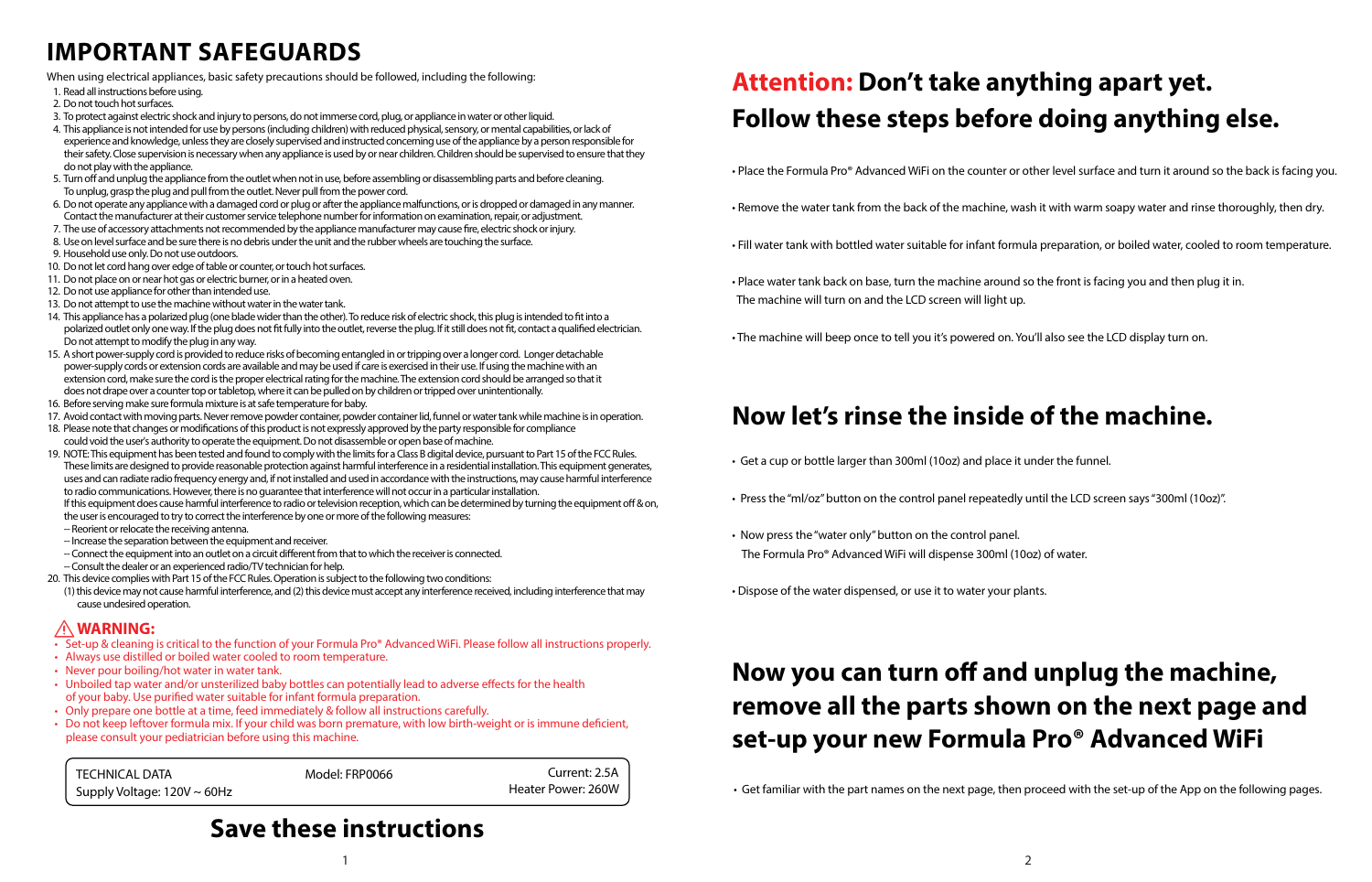TECHNICAL DATA Model: FRP0066 Supply Voltage: 120V ~ 60Hz Current: 2.5A Heater Power: 260W

- Get a cup or bottle larger than 300ml (10oz) and place it under the funnel.
- Press the "ml/oz" button on the control panel repeatedly until the LCD screen says "300ml (10oz)".
- Now press the "water only" button on the control panel. The Formula Pro® Advanced WiFi will dispense 300ml (10oz) of water.
- Dispose of the water dispensed, or use it to water your plants.

# Now you can turn off and unplug the machine, **remove all the parts shown on the next page and set-up your new Formula Pro® Advanced WiFi**

# **Attention: Don't take anything apart yet. Follow these steps before doing anything else.**

#### **Now let's rinse the inside of the machine.**

#### **Save these instructions**

### **IMPORTANT SAFEGUARDS**

- 1. Read all instructions before using.
- 2. Do not touch hot surfaces.
- 3. To protect against electric shock and injury to persons, do not immerse cord, plug, or appliance in water or other liquid.
- 4. This appliance is not intended for use by persons (including children) with reduced physical, sensory, or mental capabilities, or lack of experience and knowledge, unless they are closely supervised and instructed concerning use of the appliance by a person responsible for their safety. Close supervision is necessary when any appliance is used by or near children. Children should be supervised to ensure that they do not play with the appliance.
- 5. Turn off and unplug the appliance from the outlet when not in use, before assembling or disassembling parts and before cleaning. To unplug, grasp the plug and pull from the outlet. Never pull from the power cord.
- 6. Do not operate any appliance with a damaged cord or plug or after the appliance malfunctions, or is dropped or damaged in any manner. Contact the manufacturer at their customer service telephone number for information on examination, repair, or adjustment.
- 7. The use of accessory attachments not recommended by the appliance manufacturer may cause fire, electric shock or injury.
- 8. Use on level surface and be sure there is no debris under the unit and the rubber wheels are touching the surface.
- 9. Household use only. Do not use outdoors.
- 10. Do not let cord hang over edge of table or counter, or touch hot surfaces.
- 11. Do not place on or near hot gas or electric burner, or in a heated oven.
- 12. Do not use appliance for other than intended use.
- 13. Do not attempt to use the machine without water in the water tank.
- 14. This appliance has a polarized plug (one blade wider than the other). To reduce risk of electric shock, this plug is intended to fit into a polarized outlet only one way. If the plug does not fit fully into the outlet, reverse the plug. If it still does not fit, contact a qualified electrician. Do not attempt to modify the plug in any way.
- 15. A short power-supply cord is provided to reduce risks of becoming entangled in or tripping over a longer cord. Longer detachable power-supply cords or extension cords are available and may be used if care is exercised in their use. If using the machine with an extension cord, make sure the cord is the proper electrical rating for the machine. The extension cord should be arranged so that it does not drape over a counter top or tabletop, where it can be pulled on by children or tripped over unintentionally.
- 16. Before serving make sure formula mixture is at safe temperature for baby.
- 17. Avoid contact with moving parts. Never remove powder container, powder container lid, funnel or water tank while machine is in operation.
- 18. Please note that changes or modifications of this product is not expressly approved by the party responsible for compliance could void the user's authority to operate the equipment. Do not disassemble or open base of machine.
- 19. NOTE: This equipment has been tested and found to comply with the limits for a Class B digital device, pursuant to Part 15 of the FCC Rules. These limits are designed to provide reasonable protection against harmful interference in a residential installation. This equipment generates, uses and can radiate radio frequency energy and, if not installed and used in accordance with the instructions, may cause harmful interference to radio communications. However, there is no guarantee that interference will not occur in a particular installation.
	- If this equipment does cause harmful interference to radio or television reception, which can be determined by turning the equipment off & on, the user is encouraged to try to correct the interference by one or more of the following measures:
	- -- Reorient or relocate the receiving antenna.
	- -- Increase the separation between the equipment and receiver.
	- -- Connect the equipment into an outlet on a circuit different from that to which the receiver is connected.
	- -- Consult the dealer or an experienced radio/TV technician for help.
- 20. This device complies with Part 15 of the FCC Rules. Operation is subject to the following two conditions:
- (1) this device may not cause harmful interference, and (2) this device must accept any interference received, including interference that may cause undesired operation.

When using electrical appliances, basic safety precautions should be followed, including the following:

#### **WARNING:**

- Set-up & cleaning is critical to the function of your Formula Pro® Advanced WiFi. Please follow all instructions properly.
- Always use distilled or boiled water cooled to room temperature.
- Never pour boiling/hot water in water tank.
- Unboiled tap water and/or unsterilized baby bottles can potentially lead to adverse effects for the health of your baby. Use purified water suitable for infant formula preparation.
- Only prepare one bottle at a time, feed immediately & follow all instructions carefully.
- Do not keep leftover formula mix. If your child was born premature, with low birth-weight or is immune deficient, please consult your pediatrician before using this machine.

• Place the Formula Pro® Advanced WiFi on the counter or other level surface and turn it around so the back is facing you.

• Remove the water tank from the back of the machine, wash it with warm soapy water and rinse thoroughly, then dry.

• Fill water tank with bottled water suitable for infant formula preparation, or boiled water, cooled to room temperature.

- 
- 
- 
- Place water tank back on base, turn the machine around so the front is facing you and then plug it in. The machine will turn on and the LCD screen will light up.
- The machine will beep once to tell you it's powered on. You'll also see the LCD display turn on.

• Get familiar with the part names on the next page, then proceed with the set-up of the App on the following pages.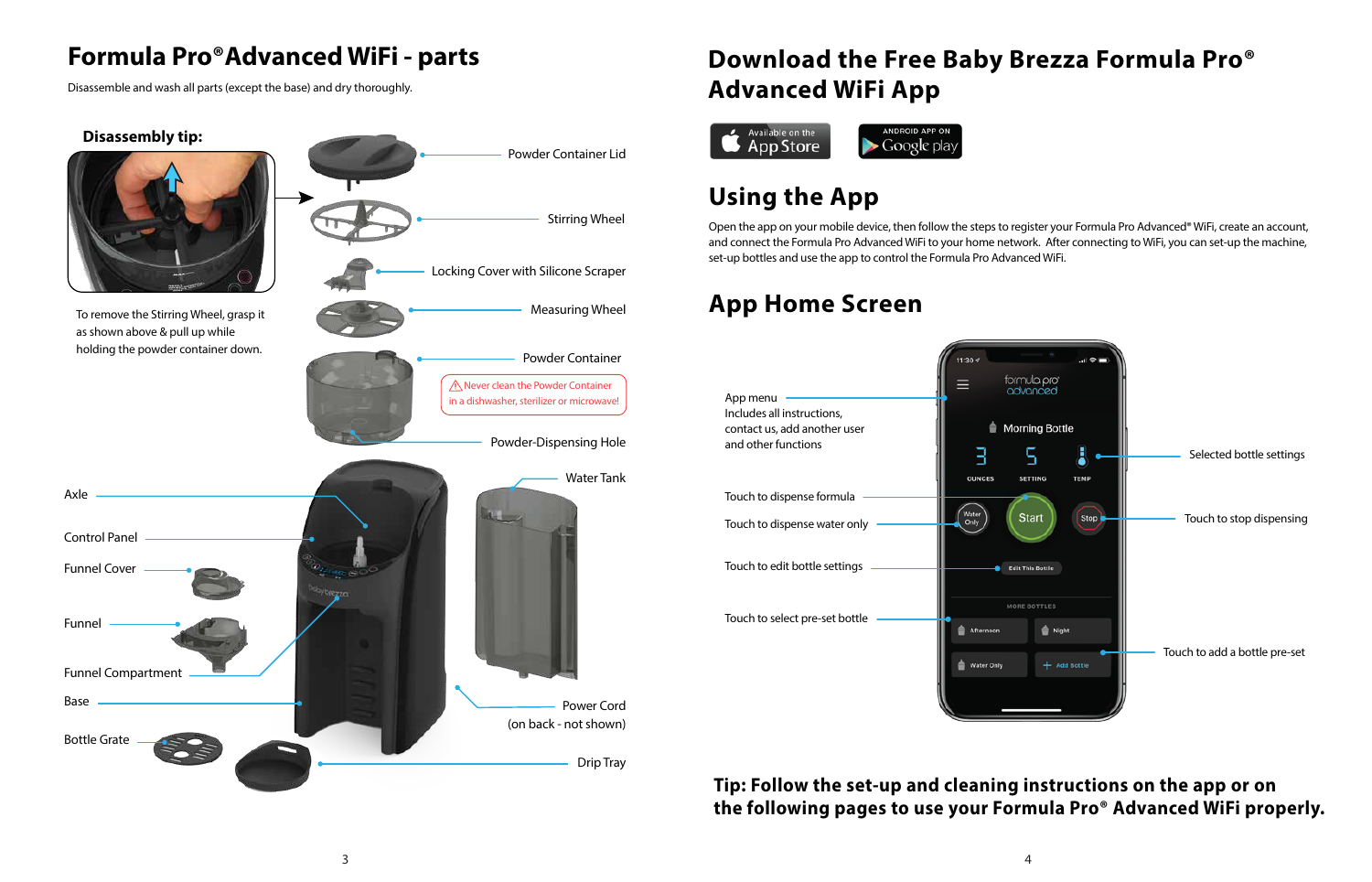# **Using the App**



# **App Home Screen**

## **Formula Pro®Advanced WiFi - parts**

Disassemble and wash all parts (except the base) and dry thoroughly.

Open the app on your mobile device, then follow the steps to register your Formula Pro Advanced® WiFi, create an account, and connect the Formula Pro Advanced WiFi to your home network. After connecting to WiFi, you can set-up the machine, set-up bottles and use the app to control the Formula Pro Advanced WiFi.

# **Download the Free Baby Brezza Formula Pro® Advanced WiFi App**





#### **Tip: Follow the set-up and cleaning instructions on the app or on the following pages to use your Formula Pro® Advanced WiFi properly.**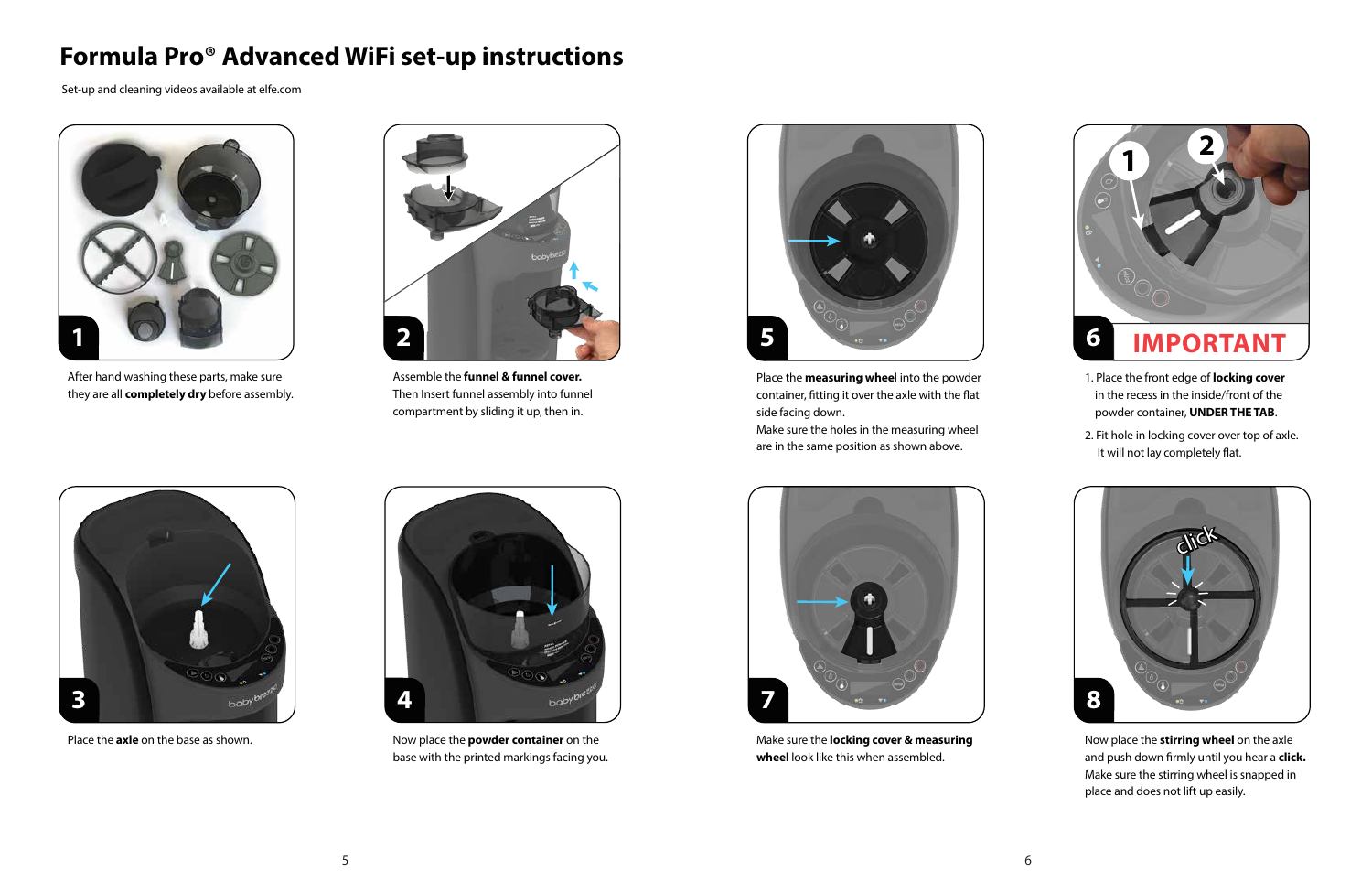

#### **Formula Pro® Advanced WiFi set-up instructions**



Now place the **powder container** on the base with the printed markings facing you.



Place the **axle** on the base as shown.



After hand washing these parts, make sure they are all **completely dry** before assembly.



Make sure the **locking cover & measuring wheel** look like this when assembled.

- 1. Place the front edge of **locking cover** in the recess in the inside/front of the powder container, **UNDER THE TAB**.
- 2. Fit hole in locking cover over top of axle. It will not lay completely flat.



Assemble the **funnel & funnel cover.**  Then Insert funnel assembly into funnel compartment by sliding it up, then in.



Place the **measuring whee**l into the powder container, fitting it over the axle with the flat side facing down.



Now place the **stirring wheel** on the axle and push down firmly until you hear a **click.** Make sure the stirring wheel is snapped in place and does not lift up easily.

Make sure the holes in the measuring wheel are in the same position as shown above.

Set-up and cleaning videos available at elfe.com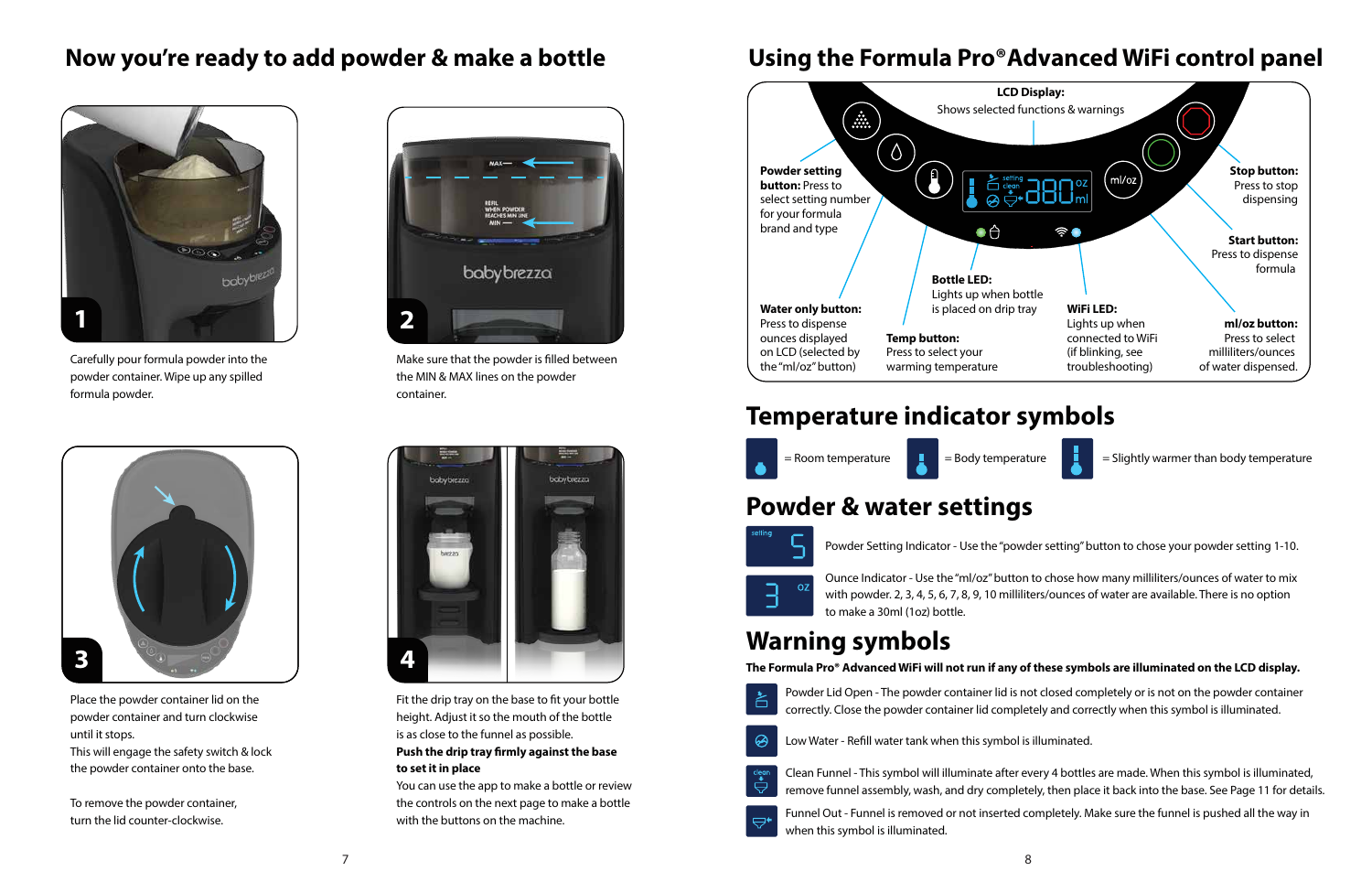



Carefully pour formula powder into the powder container. Wipe up any spilled formula powder.



Make sure that the powder is filled between the MIN & MAX lines on the powder container.



Place the powder container lid on the powder container and turn clockwise until it stops.

Fit the drip tray on the base to fit your bottle height. Adjust it so the mouth of the bottle is as close to the funnel as possible.

#### **Push the drip tray firmly against the base to set it in place**

This will engage the safety switch & lock the powder container onto the base.

To remove the powder container, turn the lid counter-clockwise.

You can use the app to make a bottle or review the controls on the next page to make a bottle with the buttons on the machine.

#### **Now you're ready to add powder & make a bottle**



#### **Using the Formula Pro®Advanced WiFi control panel**



Powder Lid Open - The powder container lid is not closed completely or is not on the powder container correctly. Close the powder container lid completely and correctly when this symbol is illuminated.

Clean Funnel - This symbol will illuminate after every 4 bottles are made. When this symbol is illuminated, remove funnel assembly, wash, and dry completely, then place it back into the base. See Page 11 for details.



Funnel Out - Funnel is removed or not inserted completely. Make sure the funnel is pushed all the way in

when this symbol is illuminated.

### **Warning symbols**

#### **Temperature indicator symbols**

#### **Powder & water settings**





Powder Setting Indicator - Use the "powder setting" button to chose your powder setting 1-10.

Ounce Indicator - Use the "ml/oz" button to chose how many milliliters/ounces of water to mix with powder. 2, 3, 4, 5, 6, 7, 8, 9, 10 milliliters/ounces of water are available. There is no option to make a 30ml (1oz) bottle.

#### **The Formula Pro® Advanced WiFi will not run if any of these symbols are illuminated on the LCD display.**





Low Water - Refill water tank when this symbol is illuminated.

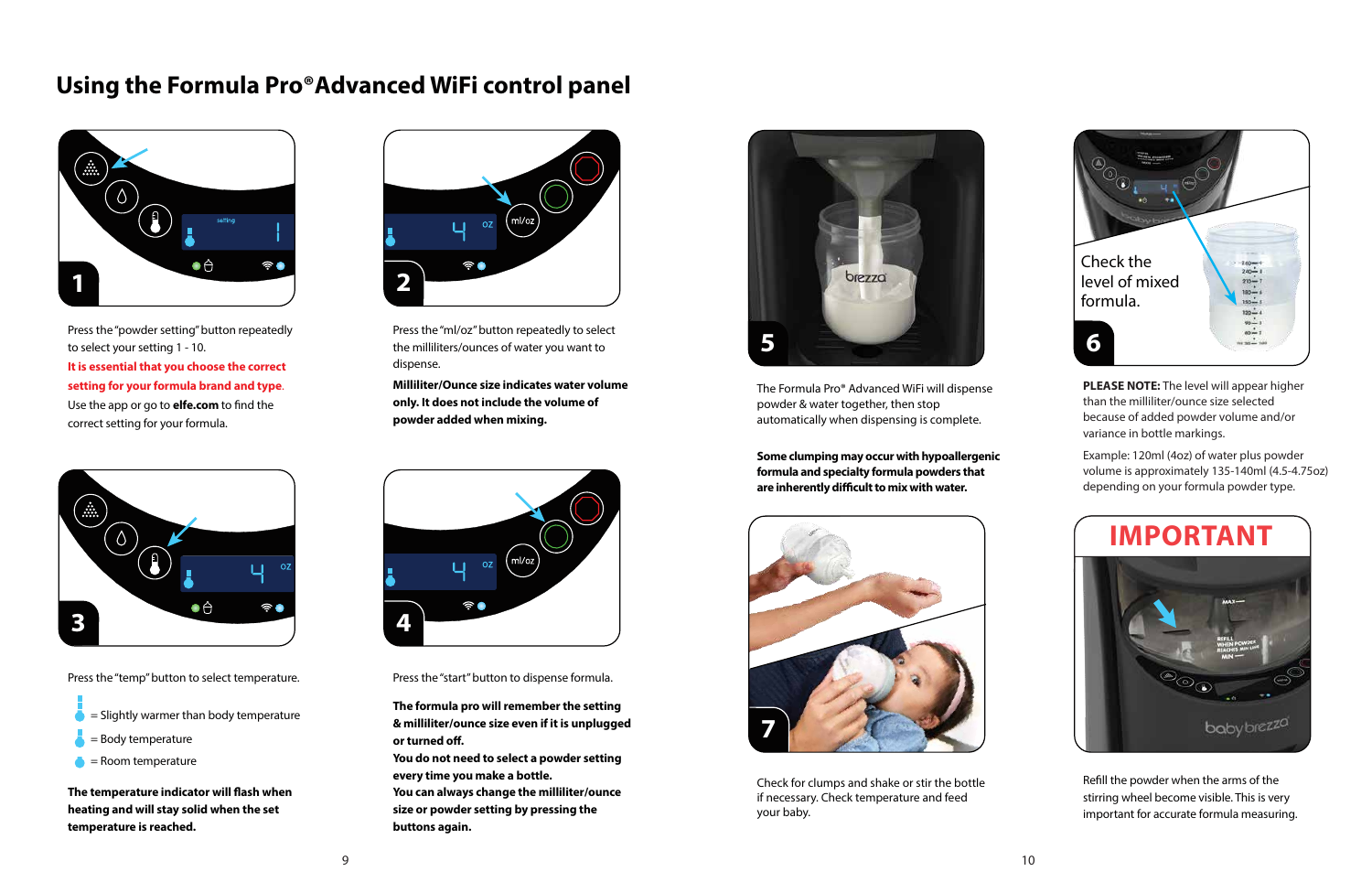











Press the "start" button to dispense formula.

The Formula Pro® Advanced WiFi will dispense powder & water together, then stop automatically when dispensing is complete.

Check for clumps and shake or stir the bottle if necessary. Check temperature and feed your baby.

**The temperature indicator will flash when heating and will stay solid when the set temperature is reached.** 

- = Slightly warmer than body temperature
- = Body temperature
- $\bullet$  = Room temperature

**Milliliter/Ounce size indicates water volume only. It does not include the volume of powder added when mixing.**

#### **Using the Formula Pro®Advanced WiFi control panel**

Press the "powder setting" button repeatedly to select your setting 1 - 10.

> Refill the powder when the arms of the stirring wheel become visible. This is very important for accurate formula measuring.

Press the "temp" button to select temperature.

**The formula pro will remember the setting & milliliter/ounce size even if it is unplugged or turned off.** 

Press the "ml/oz" button repeatedly to select the milliliters/ounces of water you want to dispense.

> **Some clumping may occur with hypoallergenic formula and specialty formula powders that**  are inherently difficult to mix with water.

**PLEASE NOTE:** The level will appear higher than the milliliter/ounce size selected because of added powder volume and/or variance in bottle markings.

**You do not need to select a powder setting every time you make a bottle.**

**You can always change the milliliter/ounce size or powder setting by pressing the buttons again.** 

Example: 120ml (4oz) of water plus powder volume is approximately 135-140ml (4.5-4.75oz) depending on your formula powder type.

**It is essential that you choose the correct setting for your formula brand and type**. Use the app or go to **elfe.com** to find the correct setting for your formula.



#### **IMPORTANT**

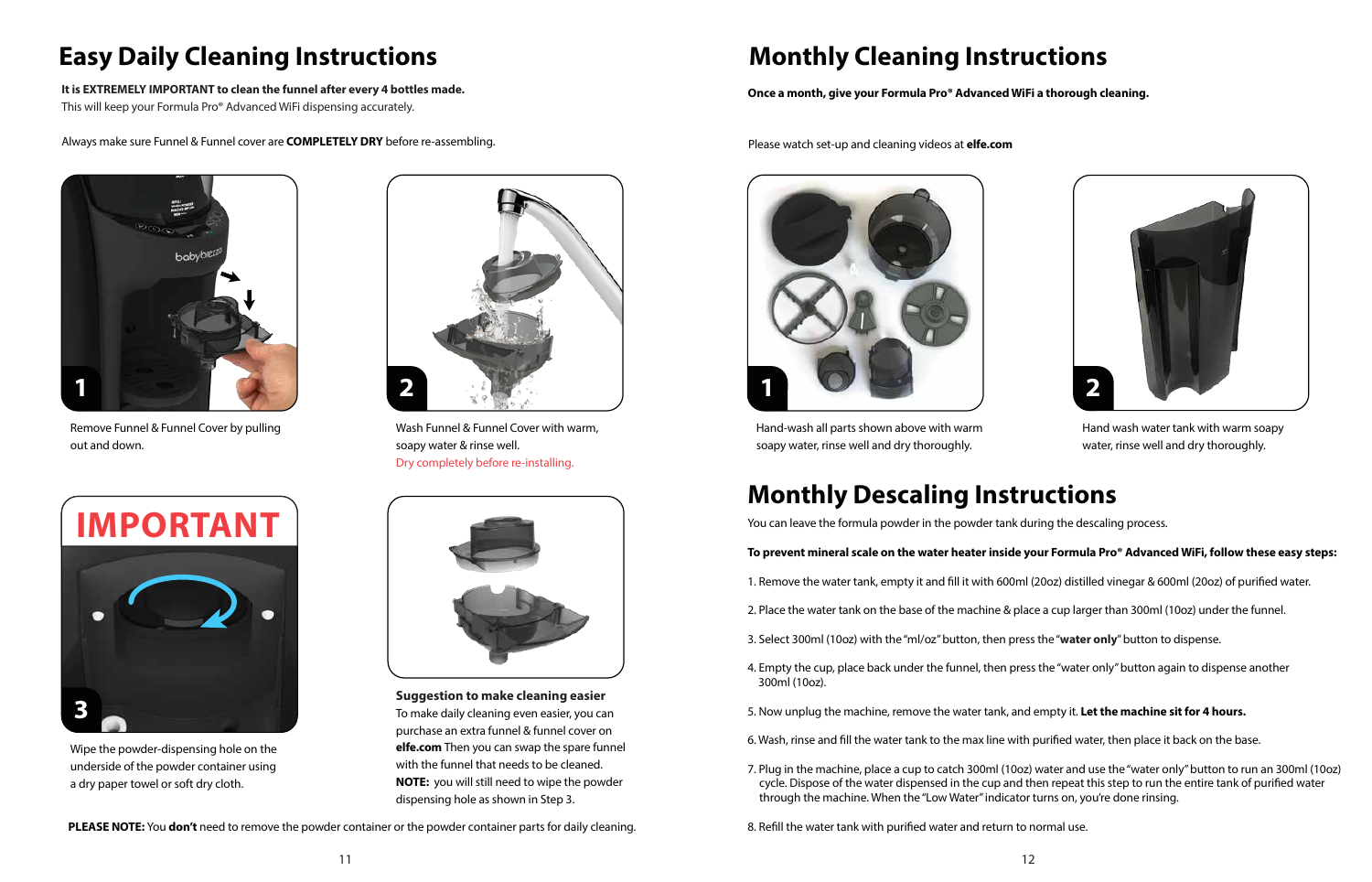## **Monthly Cleaning Instructions**



Hand-wash all parts shown above with warm soapy water, rinse well and dry thoroughly.

Hand wash water tank with warm soapy water, rinse well and dry thoroughly.

1. Remove the water tank, empty it and fill it with 600ml (20oz) distilled vinegar & 600ml (20oz) of purified water.

# **Easy Daily Cleaning Instructions**



Wash Funnel & Funnel Cover with warm, soapy water & rinse well. Dry completely before re-installing.

#### **Once a month, give your Formula Pro® Advanced WiFi a thorough cleaning.**



Wipe the powder-dispensing hole on the underside of the powder container using a dry paper towel or soft dry cloth.





Remove Funnel & Funnel Cover by pulling out and down.

- 
- 
- 3. Select 300ml (10oz) with the "ml/oz" button, then press the "**water only**" button to dispense.
- 300ml (10oz).
- 
- 
- through the machine. When the "Low Water" indicator turns on, you're done rinsing.
- 8. Refill the water tank with purified water and return to normal use.



### **Monthly Descaling Instructions**

Please watch set-up and cleaning videos at **elfe.com**

You can leave the formula powder in the powder tank during the descaling process.

7. Plug in the machine, place a cup to catch 300ml (10oz) water and use the "water only" button to run an 300ml (10oz) cycle. Dispose of the water dispensed in the cup and then repeat this step to run the entire tank of purified water

#### **To prevent mineral scale on the water heater inside your Formula Pro® Advanced WiFi, follow these easy steps:**

2. Place the water tank on the base of the machine & place a cup larger than 300ml (10oz) under the funnel.

4. Empty the cup, place back under the funnel, then press the "water only" button again to dispense another

5. Now unplug the machine, remove the water tank, and empty it. **Let the machine sit for 4 hours.**

6. Wash, rinse and fill the water tank to the max line with purified water, then place it back on the base.

#### **It is EXTREMELY IMPORTANT to clean the funnel after every 4 bottles made.**

This will keep your Formula Pro® Advanced WiFi dispensing accurately.

Always make sure Funnel & Funnel cover are **COMPLETELY DRY** before re-assembling.

**PLEASE NOTE:** You **don't** need to remove the powder container or the powder container parts for daily cleaning.

**Suggestion to make cleaning easier** To make daily cleaning even easier, you can purchase an extra funnel & funnel cover on **elfe.com** Then you can swap the spare funnel with the funnel that needs to be cleaned. **NOTE:** you will still need to wipe the powder dispensing hole as shown in Step 3.